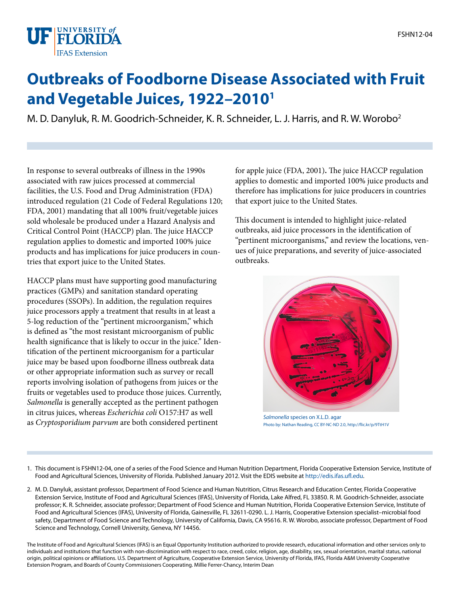

## **Outbreaks of Foodborne Disease Associated with Fruit and Vegetable Juices, 1922–20101**

M. D. Danyluk, R. M. Goodrich-Schneider, K. R. Schneider, L. J. Harris, and R. W. Worobo2

In response to several outbreaks of illness in the 1990s associated with raw juices processed at commercial facilities, the U.S. Food and Drug Administration (FDA) introduced regulation (21 Code of Federal Regulations 120; FDA, 2001) mandating that all 100% fruit/vegetable juices sold wholesale be produced under a Hazard Analysis and Critical Control Point (HACCP) plan. The juice HACCP regulation applies to domestic and imported 100% juice products and has implications for juice producers in countries that export juice to the United States.

HACCP plans must have supporting good manufacturing practices (GMPs) and sanitation standard operating procedures (SSOPs). In addition, the regulation requires juice processors apply a treatment that results in at least a 5-log reduction of the "pertinent microorganism," which is defined as "the most resistant microorganism of public health significance that is likely to occur in the juice." Identification of the pertinent microorganism for a particular juice may be based upon foodborne illness outbreak data or other appropriate information such as survey or recall reports involving isolation of pathogens from juices or the fruits or vegetables used to produce those juices. Currently, Salmonella is generally accepted as the pertinent pathogen in citrus juices, whereas Escherichia coli O157:H7 as well as Cryptosporidium parvum are both considered pertinent

for apple juice (FDA, 2001). The juice HACCP regulation applies to domestic and imported 100% juice products and therefore has implications for juice producers in countries that export juice to the United States.

This document is intended to highlight juice-related outbreaks, aid juice processors in the identification of "pertinent microorganisms," and review the locations, venues of juice preparations, and severity of juice-associated outbreaks.



Salmonella species on X.L.D. agar Photo by: Nathan Reading, CC BY-NC-ND 2.0, http://flic.kr/p/9TtH1V

1. This document is FSHN12-04, one of a series of the Food Science and Human Nutrition Department, Florida Cooperative Extension Service, Institute of Food and Agricultural Sciences, University of Florida. Published January 2012. Visit the EDIS website at [http://edis.ifas.u](http://edis.ifas.ufl.edu)fl.edu.

2. M. D. Danyluk, assistant professor, Department of Food Science and Human Nutrition, Citrus Research and Education Center, Florida Cooperative Extension Service, Institute of Food and Agricultural Sciences (IFAS), University of Florida, Lake Alfred, FL 33850. R. M. Goodrich-Schneider, associate professor; K. R. Schneider, associate professor; Department of Food Science and Human Nutrition, Florida Cooperative Extension Service, Institute of Food and Agricultural Sciences (IFAS), University of Florida, Gainesville, FL 32611-0290. L. J. Harris, Cooperative Extension specialist–microbial food safety, Department of Food Science and Technology, University of California, Davis, CA 95616. R. W. Worobo, associate professor, Department of Food Science and Technology, Cornell University, Geneva, NY 14456.

The Institute of Food and Agricultural Sciences (IFAS) is an Equal Opportunity Institution authorized to provide research, educational information and other services only to individuals and institutions that function with non-discrimination with respect to race, creed, color, religion, age, disability, sex, sexual orientation, marital status, national origin, political opinions or a"liations. U.S. Department of Agriculture, Cooperative Extension Service, University of Florida, IFAS, Florida A&M University Cooperative Extension Program, and Boards of County Commissioners Cooperating. Millie Ferrer-Chancy, Interim Dean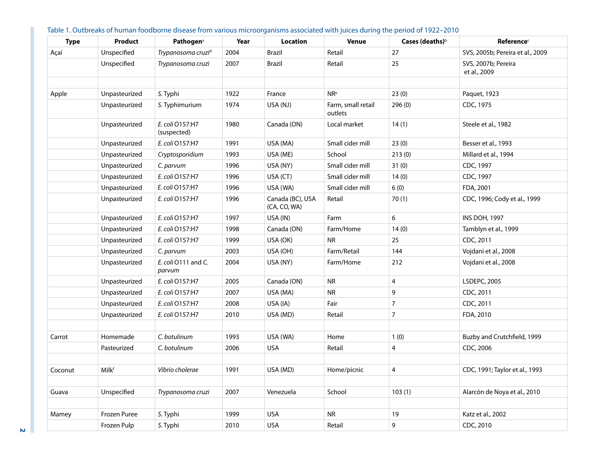| <b>Type</b> | <b>Product</b> | Pathogen <sup>a</sup>          | Year | Location                         | <b>Venue</b>                  | Cases (deaths) <sup>b</sup> | <b>Reference</b> <sup>c</sup>       |
|-------------|----------------|--------------------------------|------|----------------------------------|-------------------------------|-----------------------------|-------------------------------------|
| Açaí        | Unspecified    | Trypanosoma cruzi <sup>d</sup> | 2004 | <b>Brazil</b>                    | Retail                        | 27                          | SVS, 2005b; Pereira et al., 2009    |
|             | Unspecified    | Trypanosoma cruzi              | 2007 | <b>Brazil</b>                    | Retail                        | 25                          | SVS, 2007b; Pereira<br>et al., 2009 |
|             |                |                                |      |                                  |                               |                             |                                     |
| Apple       | Unpasteurized  | S. Typhi                       | 1922 | France                           | NR <sup>e</sup>               | 23(0)                       | Paquet, 1923                        |
|             | Unpasteurized  | S. Typhimurium                 | 1974 | USA (NJ)                         | Farm, small retail<br>outlets | 296(0)                      | CDC, 1975                           |
|             | Unpasteurized  | E. coli 0157:H7<br>(suspected) | 1980 | Canada (ON)                      | Local market                  | 14(1)                       | Steele et al., 1982                 |
|             | Unpasteurized  | E. coli 0157:H7                | 1991 | USA (MA)                         | Small cider mill              | 23(0)                       | Besser et al., 1993                 |
|             | Unpasteurized  | Cryptosporidium                | 1993 | USA (ME)                         | School                        | 213(0)                      | Millard et al., 1994                |
|             | Unpasteurized  | C. parvum                      | 1996 | USA (NY)                         | Small cider mill              | 31(0)                       | CDC, 1997                           |
|             | Unpasteurized  | E. coli 0157:H7                | 1996 | USA (CT)                         | Small cider mill              | 14(0)                       | CDC, 1997                           |
|             | Unpasteurized  | E. coli 0157:H7                | 1996 | USA (WA)                         | Small cider mill              | 6(0)                        | FDA, 2001                           |
|             | Unpasteurized  | E. coli 0157:H7                | 1996 | Canada (BC), USA<br>(CA, CO, WA) | Retail                        | 70(1)                       | CDC, 1996; Cody et al., 1999        |
|             | Unpasteurized  | E. coli O157:H7                | 1997 | USA (IN)                         | Farm                          | 6                           | <b>INS DOH, 1997</b>                |
|             | Unpasteurized  | E. coli 0157:H7                | 1998 | Canada (ON)                      | Farm/Home                     | 14(0)                       | Tamblyn et al., 1999                |
|             | Unpasteurized  | E. coli 0157:H7                | 1999 | USA (OK)                         | <b>NR</b>                     | 25                          | CDC, 2011                           |
|             | Unpasteurized  | C. parvum                      | 2003 | USA (OH)                         | Farm/Retail                   | 144                         | Vojdani et al., 2008                |
|             | Unpasteurized  | E. coli O111 and C.<br>parvum  | 2004 | USA (NY)                         | Farm/Home                     | 212                         | Vojdani et al., 2008                |
|             | Unpasteurized  | E. coli 0157:H7                | 2005 | Canada (ON)                      | <b>NR</b>                     | 4                           | LSDEPC, 2005                        |
|             | Unpasteurized  | E. coli O157:H7                | 2007 | USA (MA)                         | ${\sf NR}$                    | 9                           | CDC, 2011                           |
|             | Unpasteurized  | E. coli 0157:H7                | 2008 | USA (IA)                         | Fair                          | $\overline{7}$              | CDC, 2011                           |
|             | Unpasteurized  | E. coli 0157:H7                | 2010 | USA (MD)                         | Retail                        | $\overline{7}$              | FDA, 2010                           |
|             |                |                                |      |                                  |                               |                             |                                     |
| Carrot      | Homemade       | C. botulinum                   | 1993 | USA (WA)                         | Home                          | 1(0)                        | Buzby and Crutchfield, 1999         |
|             | Pasteurized    | C. botulinum                   | 2006 | <b>USA</b>                       | Retail                        | 4                           | CDC, 2006                           |
|             |                |                                |      |                                  |                               |                             |                                     |
| Coconut     | <b>Milkf</b>   | Vibrio cholerae                | 1991 | USA (MD)                         | Home/picnic                   | 4                           | CDC, 1991; Taylor et al., 1993      |
|             |                |                                |      |                                  |                               |                             |                                     |
| Guava       | Unspecified    | Trypanosoma cruzi              | 2007 | Venezuela                        | School                        | 103(1)                      | Alarcón de Noya et al., 2010        |
|             |                |                                |      |                                  |                               |                             |                                     |
| Mamey       | Frozen Puree   | S. Typhi                       | 1999 | <b>USA</b>                       | <b>NR</b>                     | 19                          | Katz et al., 2002                   |
|             | Frozen Pulp    | S. Typhi                       | 2010 | <b>USA</b>                       | Retail                        | 9                           | CDC, 2010                           |

## Table 1. Outbreaks of human foodborne disease from various microorganisms associated with juices during the period of 1922–2010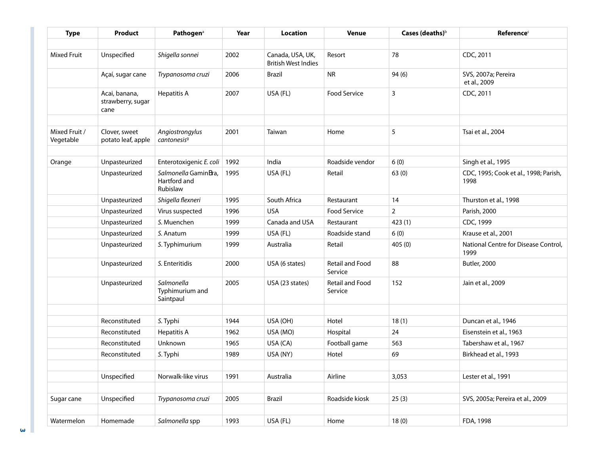| <b>Type</b>                | Product                                    | Pathogen <sup>a</sup>                            | Year | <b>Location</b>                                | <b>Venue</b>                      | Cases (deaths) $\circ$ | <b>Reference</b> <sup>c</sup>                 |
|----------------------------|--------------------------------------------|--------------------------------------------------|------|------------------------------------------------|-----------------------------------|------------------------|-----------------------------------------------|
|                            |                                            |                                                  |      |                                                |                                   |                        |                                               |
| <b>Mixed Fruit</b>         | Unspecified                                | Shigella sonnei                                  | 2002 | Canada, USA, UK,<br><b>British West Indies</b> | Resort                            | 78                     | CDC, 2011                                     |
|                            | Açaí, sugar cane                           | Trypanosoma cruzi                                | 2006 | <b>Brazil</b>                                  | <b>NR</b>                         | 94(6)                  | SVS, 2007a; Pereira<br>et al., 2009           |
|                            | Acai, banana,<br>strawberry, sugar<br>cane | Hepatitis A                                      | 2007 | USA (FL)                                       | <b>Food Service</b>               | 3                      | CDC, 2011                                     |
|                            |                                            |                                                  |      |                                                |                                   |                        |                                               |
| Mixed Fruit /<br>Vegetable | Clover, sweet<br>potato leaf, apple        | Angiostrongylus<br>cantonesis <sup>9</sup>       | 2001 | Taiwan                                         | Home                              | 5                      | Tsai et al., 2004                             |
|                            |                                            |                                                  |      |                                                |                                   |                        |                                               |
| Orange                     | Unpasteurized                              | Enterotoxigenic E. coli                          | 1992 | India                                          | Roadside vendor                   | 6(0)                   | Singh et al., 1995                            |
|                            | Unpasteurized                              | Salmonella GaminSra,<br>Hartford and<br>Rubislaw | 1995 | USA (FL)                                       | Retail                            | 63(0)                  | CDC, 1995; Cook et al., 1998; Parish,<br>1998 |
|                            | Unpasteurized                              | Shigella flexneri                                | 1995 | South Africa                                   | Restaurant                        | 14                     | Thurston et al., 1998                         |
|                            | Unpasteurized                              | Virus suspected                                  | 1996 | <b>USA</b>                                     | <b>Food Service</b>               | $\overline{2}$         | Parish, 2000                                  |
|                            | Unpasteurized                              | S. Muenchen                                      | 1999 | Canada and USA                                 | Restaurant                        | 423(1)                 | CDC, 1999                                     |
|                            | Unpasteurized                              | S. Anatum                                        | 1999 | USA (FL)                                       | Roadside stand                    | 6(0)                   | Krause et al., 2001                           |
|                            | Unpasteurized                              | S. Typhimurium                                   | 1999 | Australia                                      | Retail                            | 405(0)                 | National Centre for Disease Control,<br>1999  |
|                            | Unpasteurized                              | S. Enteritidis                                   | 2000 | USA (6 states)                                 | Retail and Food<br>Service        | 88                     | <b>Butler, 2000</b>                           |
|                            | Unpasteurized                              | Salmonella<br>Typhimurium and<br>Saintpaul       | 2005 | USA (23 states)                                | <b>Retail and Food</b><br>Service | 152                    | Jain et al., 2009                             |
|                            |                                            |                                                  |      |                                                |                                   |                        |                                               |
|                            | Reconstituted                              | S. Typhi                                         | 1944 | USA (OH)                                       | Hotel                             | 18(1)                  | Duncan et al., 1946                           |
|                            | Reconstituted                              | <b>Hepatitis A</b>                               | 1962 | USA (MO)                                       | Hospital                          | 24                     | Eisenstein et al., 1963                       |
|                            | Reconstituted                              | Unknown                                          | 1965 | USA (CA)                                       | Football game                     | 563                    | Tabershaw et al., 1967                        |
|                            | Reconstituted                              | S. Typhi                                         | 1989 | USA (NY)                                       | Hotel                             | 69                     | Birkhead et al., 1993                         |
|                            |                                            |                                                  |      |                                                |                                   |                        |                                               |
|                            | Unspecified                                | Norwalk-like virus                               | 1991 | Australia                                      | Airline                           | 3,053                  | Lester et al., 1991                           |
|                            |                                            |                                                  |      |                                                |                                   |                        |                                               |
| Sugar cane                 | Unspecified                                | Trypanosoma cruzi                                | 2005 | Brazil                                         | Roadside kiosk                    | 25(3)                  | SVS, 2005a; Pereira et al., 2009              |
|                            |                                            |                                                  |      |                                                |                                   |                        |                                               |
| Watermelon                 | Homemade                                   | Salmonella spp                                   | 1993 | USA (FL)                                       | Home                              | 18(0)                  | FDA, 1998                                     |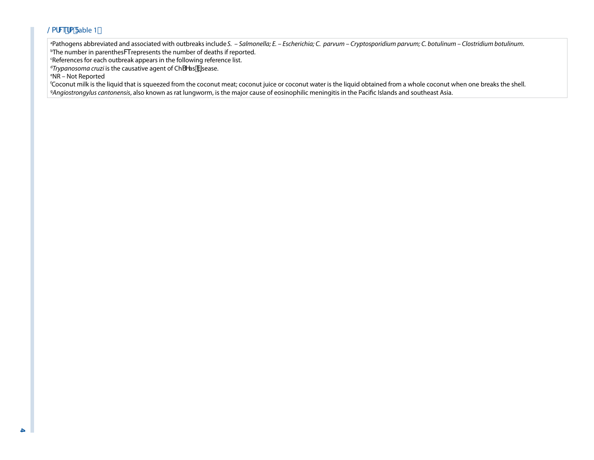## @afVefa Fable 1,

<sup>a</sup>Pathogens abbreviated and associated with outbreaks include S. *– Salmonella; E. – Escherichia; C. parvum – Cryptosporidium parvum; C. botulinum – Clostridium botulinum.*  $^{\rm b}$ The number in parenthesW $\ell$ represents the number of deaths if reported.

References for each outbreak appears in the following reference list.

<sup>d</sup>Trypanosoma cruzi is the causative agent of ChSYas V[sease.

e NR – Not Reported

f Coconut milk is the liquid that is squeezed from the coconut meat; coconut juice or coconut water is the liquid obtained from a whole coconut when one breaks the shell. <sup>g</sup>Angiostrongylus cantonensis, also known as rat lungworm, is the major cause of eosinophilic meningitis in the Pacific Islands and southeast Asia.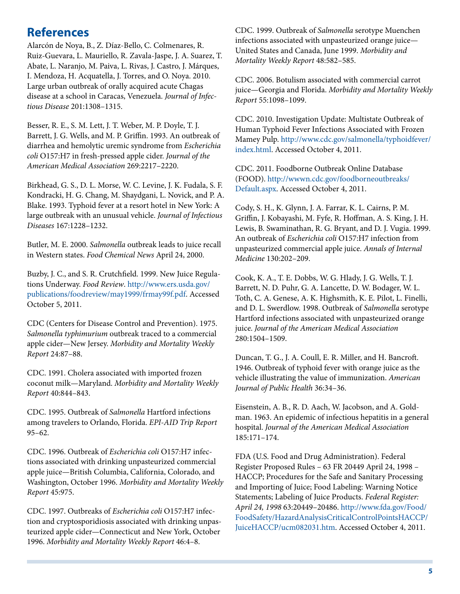## **References**

Alarcón de Noya, B., Z. Díaz-Bello, C. Colmenares, R. Ruiz-Guevara, L. Mauriello, R. Zavala-Jaspe, J. A. Suarez, T. Abate, L. Naranjo, M. Paiva, L. Rivas, J. Castro, J. Márques, I. Mendoza, H. Acquatella, J. Torres, and O. Noya. 2010. Large urban outbreak of orally acquired acute Chagas disease at a school in Caracas, Venezuela. Journal of Infectious Disease 201:1308–1315.

Besser, R. E., S. M. Lett, J. T. Weber, M. P. Doyle, T. J. Barrett, J. G. Wells, and M. P. Griffin. 1993. An outbreak of diarrhea and hemolytic uremic syndrome from Escherichia coli O157:H7 in fresh-pressed apple cider. Journal of the American Medical Association 269:2217–2220.

Birkhead, G. S., D. L. Morse, W. C. Levine, J. K. Fudala, S. F. Kondracki, H. G. Chang, M. Shaydgani, L. Novick, and P. A. Blake. 1993. Typhoid fever at a resort hotel in New York: A large outbreak with an unusual vehicle. Journal of Infectious Diseases 167:1228–1232.

Butler, M. E. 2000. Salmonella outbreak leads to juice recall in Western states. Food Chemical News April 24, 2000.

Buzby, J. C., and S. R. Crutchfield. 1999. New Juice Regulations Underway. Food Review. [http://www.ers.usda.gov/](http://www.ers.usda.gov/publications/foodreview/may1999/frmay99f.pdf) [publications/foodreview/may1999/frmay99f.pdf](http://www.ers.usda.gov/publications/foodreview/may1999/frmay99f.pdf). Accessed October 5, 2011.

CDC (Centers for Disease Control and Prevention). 1975. Salmonella typhimurium outbreak traced to a commercial apple cider—New Jersey. Morbidity and Mortality Weekly Report 24:87–88.

CDC. 1991. Cholera associated with imported frozen coconut milk—Maryland. Morbidity and Mortality Weekly Report 40:844–843.

CDC. 1995. Outbreak of Salmonella Hartford infections among travelers to Orlando, Florida. EPI-AID Trip Report 95–62.

CDC. 1996. Outbreak of Escherichia coli O157:H7 infections associated with drinking unpasteurized commercial apple juice—British Columbia, California, Colorado, and Washington, October 1996. Morbidity and Mortality Weekly Report 45:975.

CDC. 1997. Outbreaks of Escherichia coli O157:H7 infection and cryptosporidiosis associated with drinking unpasteurized apple cider—Connecticut and New York, October 1996. Morbidity and Mortality Weekly Report 46:4–8.

CDC. 1999. Outbreak of Salmonella serotype Muenchen infections associated with unpasteurized orange juice— United States and Canada, June 1999. Morbidity and Mortality Weekly Report 48:582–585.

CDC. 2006. Botulism associated with commercial carrot juice—Georgia and Florida. Morbidity and Mortality Weekly Report 55:1098–1099.

CDC. 2010. Investigation Update: Multistate 0utbreak of Human Typhoid Fever Infections Associated with Frozen Mamey Pulp. [http://www.cdc.gov/salmonella/typhoidfever/](http://www.cdc.gov/salmonella/typhoidfever/index.html) [index.html](http://www.cdc.gov/salmonella/typhoidfever/index.html). Accessed October 4, 2011.

CDC. 2011. Foodborne Outbreak Online Database (FOOD). [http://wwwn.cdc.gov/foodborneoutbreaks/](http://wwwn.cdc.gov/foodborneoutbreaks/Default.aspx) [Default.aspx.](http://wwwn.cdc.gov/foodborneoutbreaks/Default.aspx) Accessed October 4, 2011.

Cody, S. H., K. Glynn, J. A. Farrar, K. L. Cairns, P. M. Griffin, J. Kobayashi, M. Fyfe, R. Hoffman, A. S. King, J. H. Lewis, B. Swaminathan, R. G. Bryant, and D. J. Vugia. 1999. An outbreak of Escherichia coli O157:H7 infection from unpasteurized commercial apple juice. Annals of Internal Medicine 130:202–209.

Cook, K. A., T. E. Dobbs, W. G. Hlady, J. G. Wells, T. J. Barrett, N. D. Puhr, G. A. Lancette, D. W. Bodager, W. L. Toth, C. A. Genese, A. K. Highsmith, K. E. Pilot, L. Finelli, and D. L. Swerdlow. 1998. Outbreak of Salmonella serotype Hartford infections associated with unpasteurized orange juice. Journal of the American Medical Association 280:1504–1509.

Duncan, T. G., J. A. Coull, E. R. Miller, and H. Bancroft. 1946. Outbreak of typhoid fever with orange juice as the vehicle illustrating the value of immunization. American Journal of Public Health 36:34–36.

Eisenstein, A. B., R. D. Aach, W. Jacobson, and A. Goldman. 1963. An epidemic of infectious hepatitis in a general hospital. Journal of the American Medical Association 185:171–174.

FDA (U.S. Food and Drug Administration). Federal Register Proposed Rules – 63 FR 20449 April 24, 1998 – HACCP; Procedures for the Safe and Sanitary Processing and Importing of Juice; Food Labeling: Warning Notice Statements; Labeling of Juice Products. Federal Register: April 24, 1998 63:20449-20486. [http://www.fda.gov/Food/](http://www.fda.gov/Food/FoodSafety/HazardAnalysisCriticalControlPointsHACCP/JuiceHACCP/ucm082031.htm) [FoodSafety/HazardAnalysisCriticalControlPointsHACCP/](http://www.fda.gov/Food/FoodSafety/HazardAnalysisCriticalControlPointsHACCP/JuiceHACCP/ucm082031.htm) [JuiceHACCP/ucm082031.htm](http://www.fda.gov/Food/FoodSafety/HazardAnalysisCriticalControlPointsHACCP/JuiceHACCP/ucm082031.htm). Accessed October 4, 2011.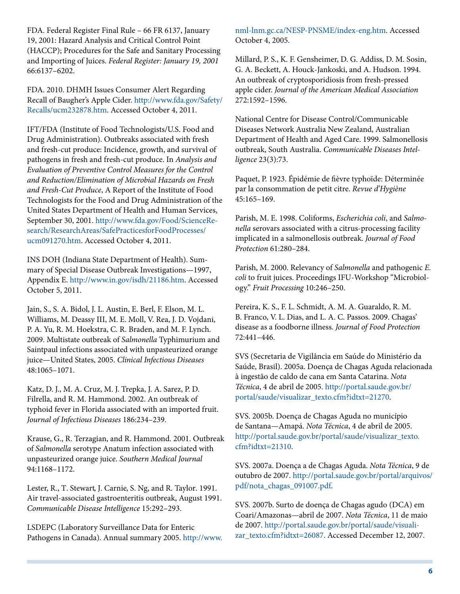FDA. Federal Register Final Rule – 66 FR 6137, January 19, 2001: Hazard Analysis and Critical Control Point (HACCP); Procedures for the Safe and Sanitary Processing and Importing of Juices. Federal Register: January 19, 2001 66:6137–6202.

FDA. 2010. DHMH Issues Consumer Alert Regarding Recall of Baugher's Apple Cider. [http://www.fda.gov/Safety/](http://www.fda.gov/Safety/Recalls/ucm232878.htm) [Recalls/ucm232878.htm](http://www.fda.gov/Safety/Recalls/ucm232878.htm). Accessed October 4, 2011.

IFT/FDA (Institute of Food Technologists/U.S. Food and Drug Administration). Outbreaks associated with fresh and fresh-cut produce: Incidence, growth, and survival of pathogens in fresh and fresh-cut produce. In Analysis and Evaluation of Preventive Control Measures for the Control and Reduction/Elimination of Microbial Hazards on Fresh and Fresh-Cut Produce, A Report of the Institute of Food Technologists for the Food and Drug Administration of the United States Department of Health and Human Services, September 30, 2001. [http://www.fda.gov/Food/ScienceRe](http://www.fda.gov/Food/ScienceResearch/ResearchAreas/SafePracticesforFoodProcesses/ucm091270.htm)[search/ResearchAreas/SafePracticesforFoodProcesses/](http://www.fda.gov/Food/ScienceResearch/ResearchAreas/SafePracticesforFoodProcesses/ucm091270.htm) [ucm091270.htm.](http://www.fda.gov/Food/ScienceResearch/ResearchAreas/SafePracticesforFoodProcesses/ucm091270.htm) Accessed October 4, 2011.

INS DOH (Indiana State Department of Health). Summary of Special Disease Outbreak Investigations—1997, Appendix E.<http://www.in.gov/isdh/21186.htm>. Accessed October 5, 2011.

Jain, S., S. A. Bidol, J. L. Austin, E. Berl, F. Elson, M. L. Williams, M. Deassy III, M. E. Moll, V. Rea, J. D. Vojdani, P. A. Yu, R. M. Hoekstra, C. R. Braden, and M. F. Lynch. 2009. Multistate outbreak of Salmonella Typhimurium and Saintpaul infections associated with unpasteurized orange juice—United States, 2005. Clinical Infectious Diseases 48:1065–1071.

Katz, D. J., M. A. Cruz, M. J. Trepka, J. A. Sarez, P. D. Filrella, and R. M. Hammond. 2002. An outbreak of typhoid fever in Florida associated with an imported fruit. Journal of Infectious Diseases 186:234–239.

Krause, G., R. Terzagian, and R. Hammond. 2001. Outbreak of Salmonella serotype Anatum infection associated with unpasteurized orange juice. Southern Medical Journal 94:1168–1172.

Lester, R., T. Stewart, J. Carnie, S. Ng, and R. Taylor. 1991. Air travel-associated gastroenteritis outbreak, August 1991. Communicable Disease Intelligence 15:292-293.

LSDEPC (Laboratory Surveillance Data for Enteric Pathogens in Canada). Annual summary 2005. [http://www.](http://www.nml-lnm.gc.ca/NESP-PNSME/index-eng.htm) [nml-lnm.gc.ca/NESP-PNSME/index-eng.htm.](http://www.nml-lnm.gc.ca/NESP-PNSME/index-eng.htm) Accessed October 4, 2005.

Millard, P. S., K. F. Gensheimer, D. G. Addiss, D. M. Sosin, G. A. Beckett, A. Houck-Jankoski, and A. Hudson. 1994. An outbreak of cryptosporidiosis from fresh-pressed apple cider. Journal of the American Medical Association 272:1592–1596.

National Centre for Disease Control/Communicable Diseases Network Australia New Zealand, Australian Department of Health and Aged Care. 1999. Salmonellosis outbreak, South Australia. Communicable Diseases Intelligence 23(3):73.

Paquet, P. 1923. Épidémie de fièvre typhoïde: Déterminée par la consommation de petit citre. Revue d'Hygiène 45:165–169.

Parish, M. E. 1998. Coliforms, Escherichia coli, and Salmonella serovars associated with a citrus-processing facility implicated in a salmonellosis outbreak. Journal of Food Protection 61:280–284

Parish, M. 2000. Relevancy of Salmonella and pathogenic E. coli to fruit juices. Proceedings IFU-Workshop "Microbiology." Fruit Processing 10:246–250.

Pereira, K. S., F. L. Schmidt, A. M. A. Guaraldo, R. M. B. Franco, V. L. Dias, and L. A. C. Passos. 2009. Chagas' disease as a foodborne illness. Journal of Food Protection 72:441–446.

SVS (Secretaria de Vigilância em Saúde do Ministério da Saúde, Brasil). 2005a. Doença de Chagas Aguda relacionada à ingestão de caldo de cana em Santa Catarina. Nota Técnica, 4 de abril de 2005. [http://portal.saude.gov.br/](http://portal.saude.gov.br/portal/saude/visualizar_texto.cfm?idtxt=21270) [portal/saude/visualizar\\_texto.cfm?idtxt=21270](http://portal.saude.gov.br/portal/saude/visualizar_texto.cfm?idtxt=21270).

SVS. 2005b. Doença de Chagas Aguda no município de Santana—Amapá. Nota Técnica, 4 de abril de 2005. [http://portal.saude.gov.br/portal/saude/visualizar\\_texto.](http://portal.saude.gov.br/portal/saude/visualizar_texto.cfm?idtxt=21310) [cfm?idtxt=21310.](http://portal.saude.gov.br/portal/saude/visualizar_texto.cfm?idtxt=21310)

SVS. 2007a. Doença a de Chagas Aguda. Nota Técnica, 9 de outubro de 2007. [http://portal.saude.gov.br/portal/arquivos/](http://portal.saude.gov.br/portal/arquivos/pdf/nota_chagas_091007.pdf) [pdf/nota\\_chagas\\_091007.pdf.](http://portal.saude.gov.br/portal/arquivos/pdf/nota_chagas_091007.pdf)

SVS. 2007b. Surto de doença de Chagas agudo (DCA) em Coari/Amazonas—abril de 2007. Nota Técnica, 11 de maio de 2007. [http://portal.saude.gov.br/portal/saude/visuali](http://portal.saude.gov.br/portal/saude/visualizar_texto.cfm?idtxt=26087)[zar\\_texto.cfm?idtxt=26087.](http://portal.saude.gov.br/portal/saude/visualizar_texto.cfm?idtxt=26087) Accessed December 12, 2007.